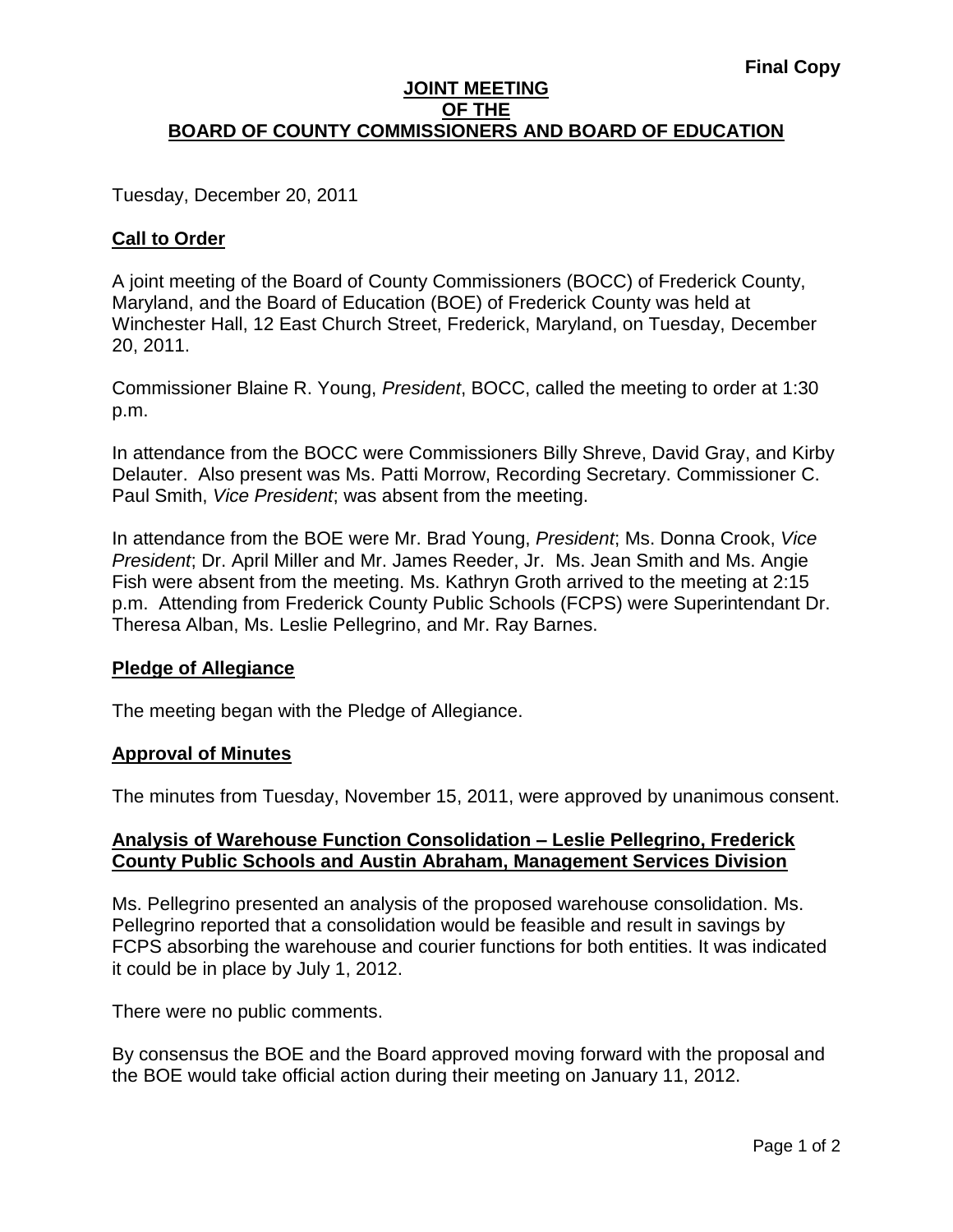### **JOINT MEETING OF THE BOARD OF COUNTY COMMISSIONERS AND BOARD OF EDUCATION**

Tuesday, December 20, 2011

# **Call to Order**

A joint meeting of the Board of County Commissioners (BOCC) of Frederick County, Maryland, and the Board of Education (BOE) of Frederick County was held at Winchester Hall, 12 East Church Street, Frederick, Maryland, on Tuesday, December 20, 2011.

Commissioner Blaine R. Young, *President*, BOCC, called the meeting to order at 1:30 p.m.

In attendance from the BOCC were Commissioners Billy Shreve, David Gray, and Kirby Delauter. Also present was Ms. Patti Morrow, Recording Secretary. Commissioner C. Paul Smith, *Vice President*; was absent from the meeting.

In attendance from the BOE were Mr. Brad Young, *President*; Ms. Donna Crook, *Vice President*; Dr. April Miller and Mr. James Reeder, Jr. Ms. Jean Smith and Ms. Angie Fish were absent from the meeting. Ms. Kathryn Groth arrived to the meeting at 2:15 p.m. Attending from Frederick County Public Schools (FCPS) were Superintendant Dr. Theresa Alban, Ms. Leslie Pellegrino, and Mr. Ray Barnes.

# **Pledge of Allegiance**

The meeting began with the Pledge of Allegiance.

### **Approval of Minutes**

The minutes from Tuesday, November 15, 2011, were approved by unanimous consent.

# **Analysis of Warehouse Function Consolidation – Leslie Pellegrino, Frederick County Public Schools and Austin Abraham, Management Services Division**

Ms. Pellegrino presented an analysis of the proposed warehouse consolidation. Ms. Pellegrino reported that a consolidation would be feasible and result in savings by FCPS absorbing the warehouse and courier functions for both entities. It was indicated it could be in place by July 1, 2012.

There were no public comments.

By consensus the BOE and the Board approved moving forward with the proposal and the BOE would take official action during their meeting on January 11, 2012.